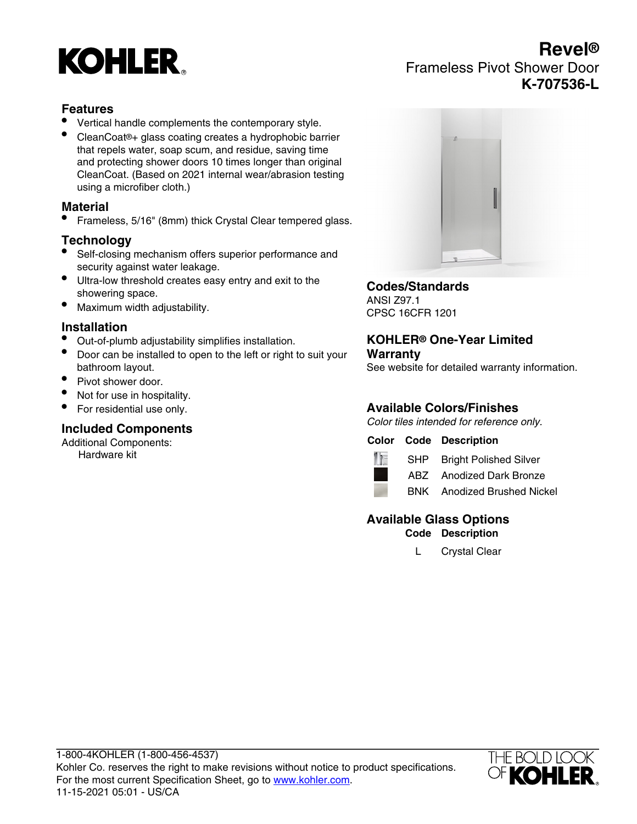# **KOHLER**

# **Revel®** Frameless Pivot Shower Door **K-707536-L**

### **Features**

- Vertical handle complements the contemporary style.
- CleanCoat®+ glass coating creates a hydrophobic barrier that repels water, soap scum, and residue, saving time and protecting shower doors 10 times longer than original CleanCoat. (Based on 2021 internal wear/abrasion testing using a microfiber cloth.)

#### **Material**

• Frameless, 5/16" (8mm) thick Crystal Clear tempered glass.

#### **Technology**

- Self-closing mechanism offers superior performance and security against water leakage.
- Ultra-low threshold creates easy entry and exit to the showering space.
- Maximum width adjustability.

#### **Installation**

- Out-of-plumb adjustability simplifies installation.
- Door can be installed to open to the left or right to suit your bathroom layout.
- Pivot shower door.
- Not for use in hospitality.
- For residential use only.

#### **Included Components**

Additional Components: Hardware kit



#### **Codes/Standards**

ANSI Z97.1 CPSC 16CFR 1201

#### **KOHLER® One-Year Limited Warranty**

See website for detailed warranty information.

## **Available Colors/Finishes**

Color tiles intended for reference only.

#### **Color Code Description**



SHP Bright Polished Silver ABZ Anodized Dark Bronze



BNK Anodized Brushed Nickel

## **Available Glass Options**

**Code Description**

L Crystal Clear